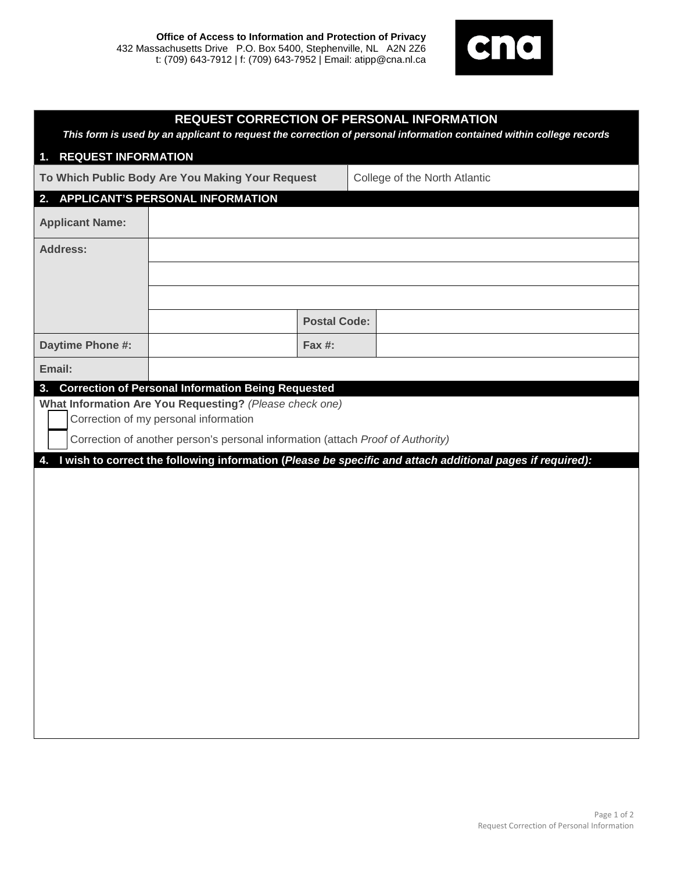

| <b>REQUEST CORRECTION OF PERSONAL INFORMATION</b><br>This form is used by an applicant to request the correction of personal information contained within college records |                     |                                                                                                           |
|---------------------------------------------------------------------------------------------------------------------------------------------------------------------------|---------------------|-----------------------------------------------------------------------------------------------------------|
| 1. REQUEST INFORMATION                                                                                                                                                    |                     |                                                                                                           |
| To Which Public Body Are You Making Your Request                                                                                                                          |                     | College of the North Atlantic                                                                             |
| <b>APPLICANT'S PERSONAL INFORMATION</b><br>2.                                                                                                                             |                     |                                                                                                           |
| <b>Applicant Name:</b>                                                                                                                                                    |                     |                                                                                                           |
| <b>Address:</b>                                                                                                                                                           |                     |                                                                                                           |
|                                                                                                                                                                           |                     |                                                                                                           |
|                                                                                                                                                                           |                     |                                                                                                           |
|                                                                                                                                                                           | <b>Postal Code:</b> |                                                                                                           |
| Daytime Phone #:                                                                                                                                                          | <b>Fax #:</b>       |                                                                                                           |
| Email:                                                                                                                                                                    |                     |                                                                                                           |
| Correction of my personal information<br>Correction of another person's personal information (attach Proof of Authority)<br>4.                                            |                     | I wish to correct the following information (Please be specific and attach additional pages if required): |